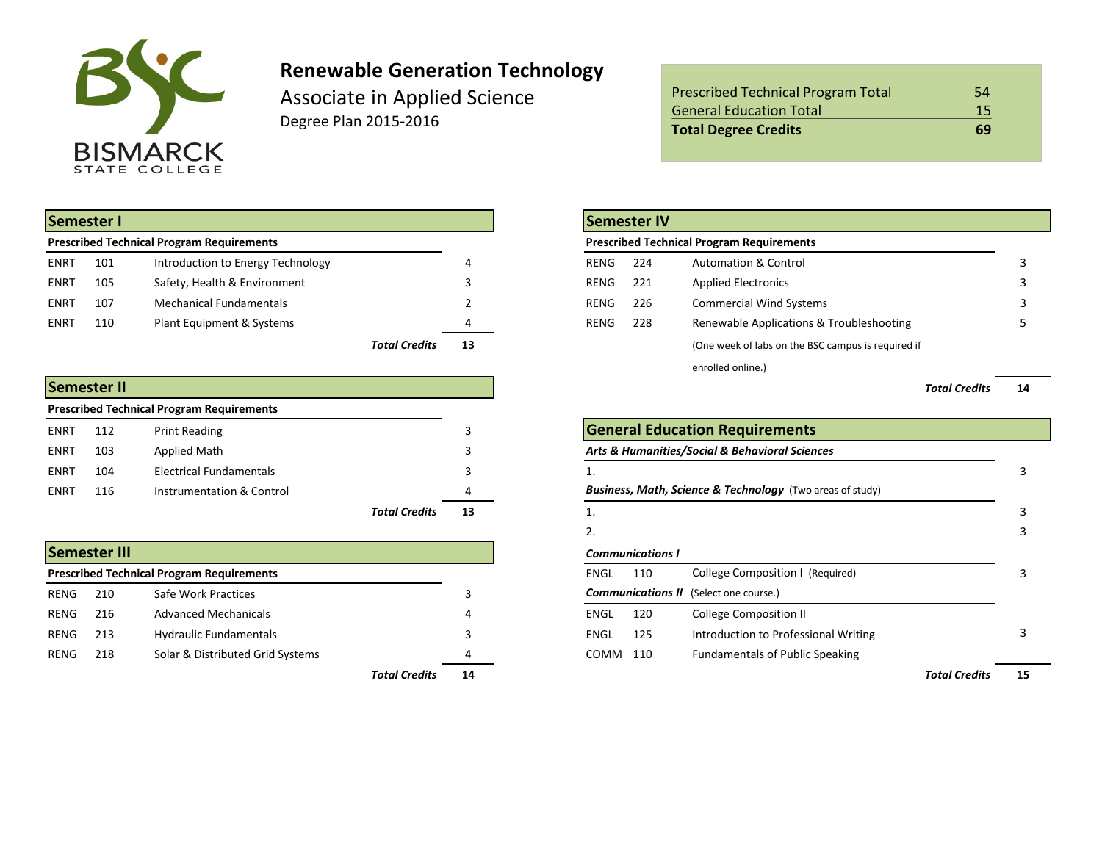

# **Renewable Generation Technology**

Associate in Applied Science Degree Plan 2015-2016

|             | Semester I |                                                  |                      |    | Semester IV                                                    |  |
|-------------|------------|--------------------------------------------------|----------------------|----|----------------------------------------------------------------|--|
|             |            | <b>Prescribed Technical Program Requirements</b> |                      |    | <b>Prescribed Technical Program Requirements</b>               |  |
| <b>ENRT</b> | 101        | Introduction to Energy Technology                |                      |    | 224<br><b>Automation &amp; Control</b><br>RENG                 |  |
| <b>ENRT</b> | 105        | Safety, Health & Environment                     |                      |    | 221<br><b>Applied Electronics</b><br>RENG                      |  |
| <b>ENRT</b> | 107        | <b>Mechanical Fundamentals</b>                   |                      |    | <b>Commercial Wind Systems</b><br>226<br>RENG                  |  |
| <b>ENRT</b> | 110        | Plant Equipment & Systems                        |                      |    | Renewable Applications & Troubleshooting<br>228<br><b>RENG</b> |  |
|             |            |                                                  | <b>Total Credits</b> | 13 | (One week of labs on the BSC campus is required if             |  |

|             | Semester II |                                                  |                      |     | <b>Total Credits</b>                                                 | 14 |
|-------------|-------------|--------------------------------------------------|----------------------|-----|----------------------------------------------------------------------|----|
|             |             | <b>Prescribed Technical Program Requirements</b> |                      |     |                                                                      |    |
| <b>ENRT</b> | 112         | <b>Print Reading</b>                             |                      |     | <b>General Education Requirements</b>                                |    |
| <b>ENRT</b> | 103         | Applied Math                                     |                      |     | Arts & Humanities/Social & Behavioral Sciences                       |    |
| <b>ENRT</b> | 104         | Electrical Fundamentals                          |                      |     |                                                                      |    |
| ENRT        | 116         | Instrumentation & Control                        |                      |     | <b>Business, Math, Science &amp; Technology</b> (Two areas of study) |    |
|             |             |                                                  | <b>Total Credits</b> | 13. |                                                                      |    |

|      | <b>Semester III</b> |                                                  |                            |             | <b>Communications I</b> |                                               |                      |    |
|------|---------------------|--------------------------------------------------|----------------------------|-------------|-------------------------|-----------------------------------------------|----------------------|----|
|      |                     | <b>Prescribed Technical Program Requirements</b> |                            | <b>ENGL</b> | 110                     | College Composition I (Required)              |                      |    |
| RENG | 210                 | Safe Work Practices                              |                            |             |                         | <b>Communications II</b> (Select one course.) |                      |    |
| RENG | 216                 | <b>Advanced Mechanicals</b>                      |                            | <b>ENGL</b> | 120                     | <b>College Composition II</b>                 |                      |    |
| RENG | 213                 | <b>Hydraulic Fundamentals</b>                    |                            | <b>ENGL</b> | 125                     | Introduction to Professional Writing          |                      |    |
| RENG | 218                 | Solar & Distributed Grid Systems                 |                            | COMM        | 110                     | <b>Fundamentals of Public Speaking</b>        |                      |    |
|      |                     |                                                  | <b>Total Credits</b><br>14 |             |                         |                                               | <b>Total Credits</b> | 1! |

| <b>Prescribed Technical Program Total</b> | 54  |
|-------------------------------------------|-----|
| <b>General Education Total</b>            | 15  |
| <b>Total Degree Credits</b>               | -69 |

|                      |    |             | <b>Semester IV</b>                               |                                                    |    |  |  |  |  |
|----------------------|----|-------------|--------------------------------------------------|----------------------------------------------------|----|--|--|--|--|
|                      |    |             | <b>Prescribed Technical Program Requirements</b> |                                                    |    |  |  |  |  |
|                      | 4  | <b>RENG</b> | 224                                              | <b>Automation &amp; Control</b>                    | 3  |  |  |  |  |
|                      | 3  | RENG        | 221                                              | <b>Applied Electronics</b>                         |    |  |  |  |  |
|                      | 2  | <b>RENG</b> | 226                                              | <b>Commercial Wind Systems</b>                     |    |  |  |  |  |
|                      | 4  | <b>RENG</b> | 228                                              | Renewable Applications & Troubleshooting           |    |  |  |  |  |
| <b>Total Credits</b> | 13 |             |                                                  | (One week of labs on the BSC campus is required if |    |  |  |  |  |
|                      |    |             |                                                  | enrolled online.)                                  |    |  |  |  |  |
|                      |    |             |                                                  | <b>Total Credits</b>                               | 14 |  |  |  |  |
|                      |    |             |                                                  |                                                    |    |  |  |  |  |

|                      | 3  |             | General Education Requirements |                                                                      |                      |    |  |  |  |  |
|----------------------|----|-------------|--------------------------------|----------------------------------------------------------------------|----------------------|----|--|--|--|--|
|                      | 3  |             |                                | Arts & Humanities/Social & Behavioral Sciences                       |                      |    |  |  |  |  |
|                      | 3  |             |                                |                                                                      |                      |    |  |  |  |  |
|                      |    |             |                                | <b>Business, Math, Science &amp; Technology</b> (Two areas of study) |                      |    |  |  |  |  |
| <b>Total Credits</b> | 13 | 1.          |                                |                                                                      |                      |    |  |  |  |  |
|                      |    | 2.          |                                |                                                                      |                      |    |  |  |  |  |
|                      |    |             | <b>Communications I</b>        |                                                                      |                      |    |  |  |  |  |
|                      |    | ENGL        | 110                            | College Composition I (Required)                                     |                      |    |  |  |  |  |
|                      | 3  |             |                                | <b>Communications II</b> (Select one course.)                        |                      |    |  |  |  |  |
|                      | 4  | <b>ENGL</b> | 120                            | <b>College Composition II</b>                                        |                      |    |  |  |  |  |
|                      | 3  | ENGL        | 125                            | Introduction to Professional Writing                                 |                      |    |  |  |  |  |
|                      | 4  | COMM        | 110                            | <b>Fundamentals of Public Speaking</b>                               |                      |    |  |  |  |  |
| <b>Total Credits</b> | 14 |             |                                |                                                                      | <b>Total Credits</b> | 15 |  |  |  |  |
|                      |    |             |                                |                                                                      |                      |    |  |  |  |  |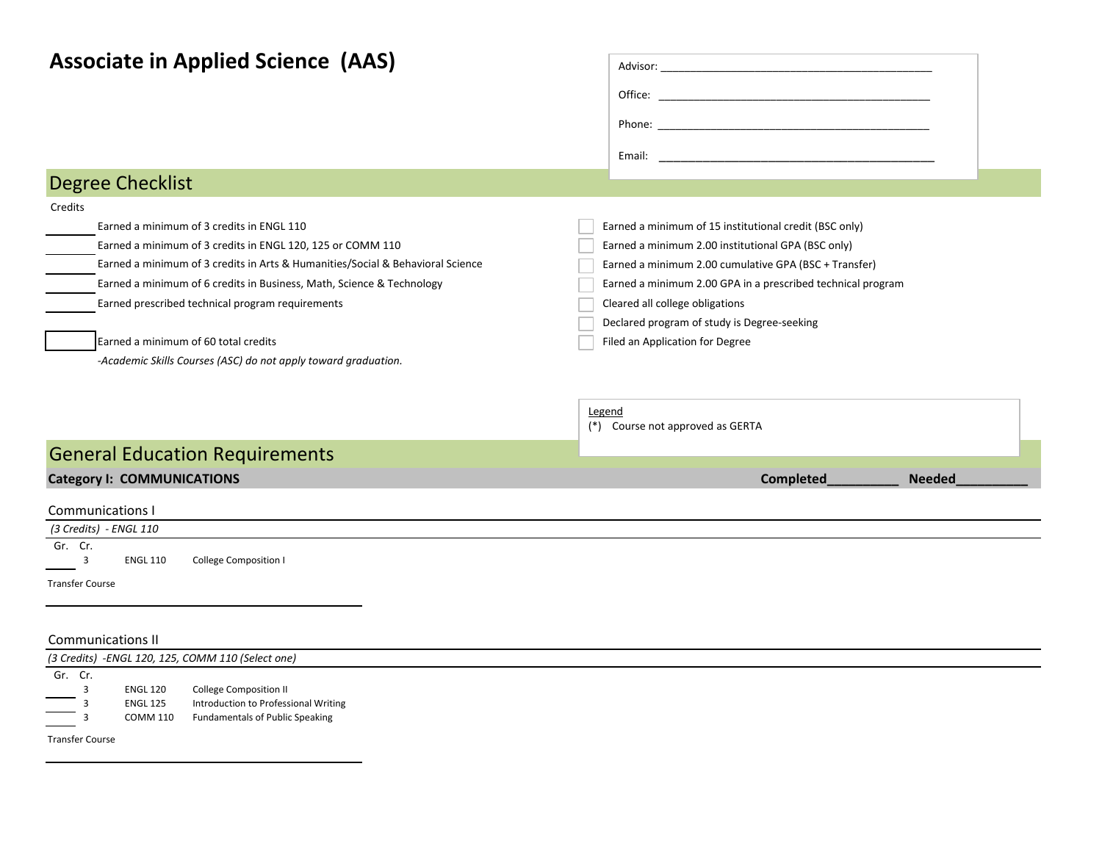| <b>Associate in Applied Science (AAS)</b>                                      |                                                             |
|--------------------------------------------------------------------------------|-------------------------------------------------------------|
|                                                                                |                                                             |
|                                                                                |                                                             |
|                                                                                |                                                             |
| <b>Degree Checklist</b>                                                        |                                                             |
| Credits                                                                        |                                                             |
| Earned a minimum of 3 credits in ENGL 110                                      | Earned a minimum of 15 institutional credit (BSC only)      |
| Earned a minimum of 3 credits in ENGL 120, 125 or COMM 110                     | Earned a minimum 2.00 institutional GPA (BSC only)          |
| Earned a minimum of 3 credits in Arts & Humanities/Social & Behavioral Science | Earned a minimum 2.00 cumulative GPA (BSC + Transfer)       |
| Earned a minimum of 6 credits in Business, Math, Science & Technology          | Earned a minimum 2.00 GPA in a prescribed technical program |
| Earned prescribed technical program requirements                               | Cleared all college obligations                             |
|                                                                                | Declared program of study is Degree-seeking                 |
| Earned a minimum of 60 total credits                                           | Filed an Application for Degree                             |
| -Academic Skills Courses (ASC) do not apply toward graduation.                 |                                                             |
|                                                                                |                                                             |
|                                                                                | Legend<br>(*) Course not approved as GERTA                  |
| <b>General Education Requirements</b>                                          |                                                             |
| <b>Category I: COMMUNICATIONS</b>                                              | Completed<br><b>Needed</b>                                  |
| Communications I                                                               |                                                             |
| (3 Credits) - ENGL 110                                                         |                                                             |
| Gr. Cr.                                                                        |                                                             |
| 3<br><b>ENGL 110</b><br><b>College Composition I</b>                           |                                                             |
| <b>Transfer Course</b>                                                         |                                                             |

#### Communications II

|                                                                                                                                                                                                                                                                    | (3 Credits) - ENGL 120, 125, COMM 110 (Select one) |                                        |  |  |  |  |  |  |  |  |
|--------------------------------------------------------------------------------------------------------------------------------------------------------------------------------------------------------------------------------------------------------------------|----------------------------------------------------|----------------------------------------|--|--|--|--|--|--|--|--|
| Gr. Cr.                                                                                                                                                                                                                                                            |                                                    |                                        |  |  |  |  |  |  |  |  |
|                                                                                                                                                                                                                                                                    | <b>ENGL 120</b>                                    | <b>College Composition II</b>          |  |  |  |  |  |  |  |  |
| $\overline{\phantom{a}}$ ,                                                                                                                                                                                                                                         | <b>ENGL 125</b>                                    | Introduction to Professional Writing   |  |  |  |  |  |  |  |  |
| $\overline{\phantom{a}}$ 3<br><u>in the company of the company of the company of the company of the company of the company of the company of the company of the company of the company of the company of the company of the company of the company of the comp</u> | <b>COMM 110</b>                                    | <b>Fundamentals of Public Speaking</b> |  |  |  |  |  |  |  |  |
| <b>Transfer Course</b>                                                                                                                                                                                                                                             |                                                    |                                        |  |  |  |  |  |  |  |  |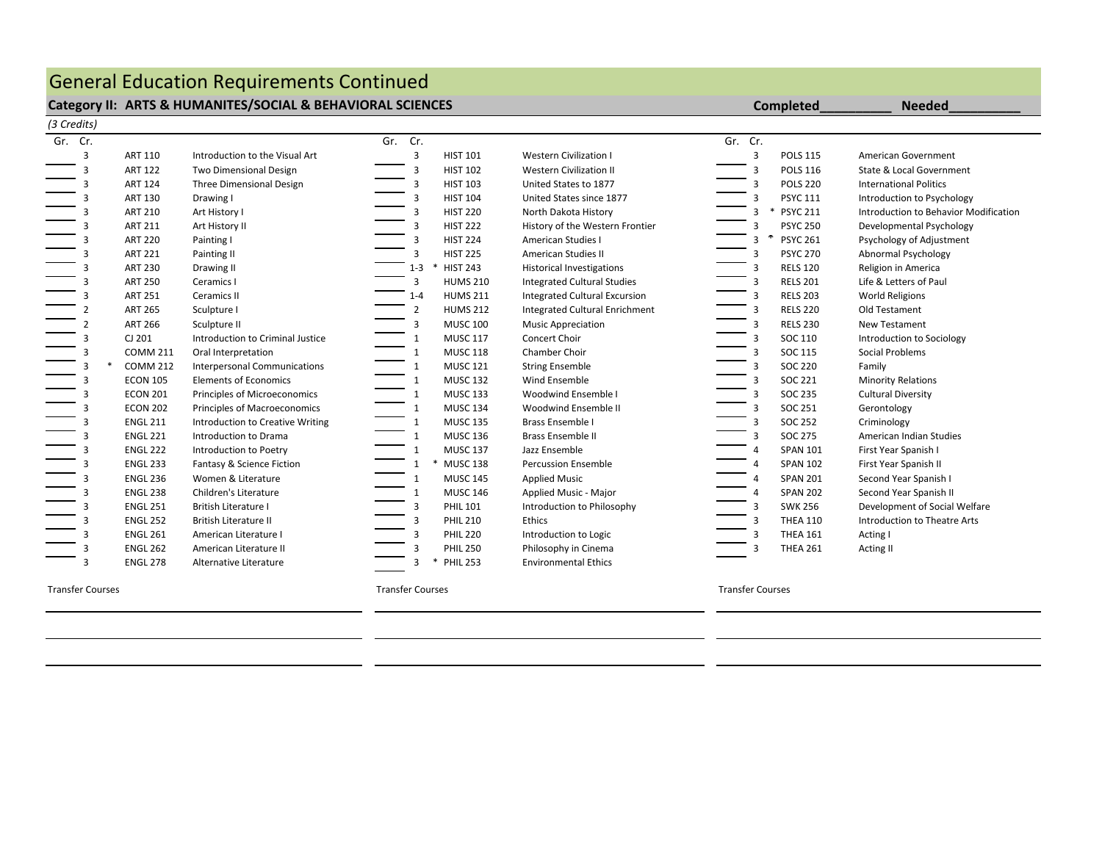# General Education Requirements Continued

#### Category II: ARTS & HUMANITES/SOCIAL & BEHAVIORAL SCIENCES **Completed** Completed **Completed Completed**

| (3 Credits) |                         |                 |                                     |                         |                      |                                       |                         |                           |                                       |
|-------------|-------------------------|-----------------|-------------------------------------|-------------------------|----------------------|---------------------------------------|-------------------------|---------------------------|---------------------------------------|
| Gr. Cr.     |                         |                 |                                     | Gr. Cr.                 |                      |                                       | Gr. Cr.                 |                           |                                       |
|             | $\overline{3}$          | <b>ART 110</b>  | Introduction to the Visual Art      | 3                       | <b>HIST 101</b>      | <b>Western Civilization I</b>         | 3                       | <b>POLS 115</b>           | American Government                   |
|             | 3                       | <b>ART 122</b>  | Two Dimensional Design              | 3                       | <b>HIST 102</b>      | <b>Western Civilization II</b>        | 3                       | <b>POLS 116</b>           | State & Local Government              |
|             | 3                       | <b>ART 124</b>  | <b>Three Dimensional Design</b>     | 3                       | <b>HIST 103</b>      | United States to 1877                 | 3                       | <b>POLS 220</b>           | <b>International Politics</b>         |
|             | З                       | <b>ART 130</b>  | Drawing I                           | 3                       | <b>HIST 104</b>      | United States since 1877              | 3                       | <b>PSYC 111</b>           | Introduction to Psychology            |
|             |                         | <b>ART 210</b>  | Art History I                       | 3                       | <b>HIST 220</b>      | North Dakota History                  | 3                       | <b>PSYC 211</b><br>$\ast$ | Introduction to Behavior Modification |
|             |                         | <b>ART 211</b>  | Art History II                      |                         | <b>HIST 222</b>      | History of the Western Frontier       | 3                       | <b>PSYC 250</b>           | Developmental Psychology              |
|             |                         | <b>ART 220</b>  | Painting I                          | 3                       | <b>HIST 224</b>      | <b>American Studies I</b>             |                         | ∗<br><b>PSYC 261</b>      | Psychology of Adjustment              |
|             |                         | <b>ART 221</b>  | Painting II                         | 3                       | <b>HIST 225</b>      | <b>American Studies II</b>            | 3                       | <b>PSYC 270</b>           | Abnormal Psychology                   |
|             | 3                       | <b>ART 230</b>  | Drawing II                          | $1 - 3$                 | <b>HIST 243</b><br>∗ | <b>Historical Investigations</b>      | 3                       | <b>RELS 120</b>           | Religion in America                   |
|             | 3                       | <b>ART 250</b>  | Ceramics I                          | 3                       | <b>HUMS 210</b>      | <b>Integrated Cultural Studies</b>    | 3                       | <b>RELS 201</b>           | Life & Letters of Paul                |
|             |                         | <b>ART 251</b>  | Ceramics II                         | $1 - 4$                 | <b>HUMS 211</b>      | <b>Integrated Cultural Excursion</b>  | 3                       | <b>RELS 203</b>           | <b>World Religions</b>                |
|             |                         | <b>ART 265</b>  | Sculpture I                         | $\overline{2}$          | <b>HUMS 212</b>      | <b>Integrated Cultural Enrichment</b> | $\overline{3}$          | <b>RELS 220</b>           | Old Testament                         |
|             |                         | <b>ART 266</b>  | Sculpture II                        | 3                       | <b>MUSC 100</b>      | <b>Music Appreciation</b>             | 3                       | <b>RELS 230</b>           | <b>New Testament</b>                  |
|             |                         | CJ 201          | Introduction to Criminal Justice    | $\mathbf{1}$            | <b>MUSC 117</b>      | Concert Choir                         | 3                       | SOC 110                   | Introduction to Sociology             |
|             | 3                       | <b>COMM 211</b> | Oral Interpretation                 | $\mathbf{1}$            | <b>MUSC 118</b>      | <b>Chamber Choir</b>                  | 3                       | SOC 115                   | Social Problems                       |
|             | 3                       | <b>COMM 212</b> | <b>Interpersonal Communications</b> | 1                       | <b>MUSC 121</b>      | <b>String Ensemble</b>                | 3                       | <b>SOC 220</b>            | Family                                |
|             | 3                       | <b>ECON 105</b> | <b>Elements of Economics</b>        | 1                       | <b>MUSC 132</b>      | Wind Ensemble                         | $\overline{3}$          | SOC 221                   | <b>Minority Relations</b>             |
|             | 3                       | <b>ECON 201</b> | Principles of Microeconomics        | $\mathbf{1}$            | <b>MUSC 133</b>      | Woodwind Ensemble I                   | 3                       | <b>SOC 235</b>            | <b>Cultural Diversity</b>             |
|             |                         | <b>ECON 202</b> | Principles of Macroeconomics        |                         | <b>MUSC 134</b>      | Woodwind Ensemble II                  | 3                       | SOC 251                   | Gerontology                           |
|             |                         | <b>ENGL 211</b> | Introduction to Creative Writing    | $\mathbf{1}$            | <b>MUSC 135</b>      | <b>Brass Ensemble I</b>               | 3                       | <b>SOC 252</b>            | Criminology                           |
|             |                         | <b>ENGL 221</b> | Introduction to Drama               | $\mathbf{1}$            | <b>MUSC 136</b>      | <b>Brass Ensemble II</b>              | 3                       | <b>SOC 275</b>            | American Indian Studies               |
|             | 3                       | <b>ENGL 222</b> | Introduction to Poetry              | $\mathbf{1}$            | <b>MUSC 137</b>      | Jazz Ensemble                         | $\overline{a}$          | <b>SPAN 101</b>           | First Year Spanish I                  |
|             | 3                       | <b>ENGL 233</b> | Fantasy & Science Fiction           |                         | * MUSC 138           | <b>Percussion Ensemble</b>            | $\overline{a}$          | <b>SPAN 102</b>           | First Year Spanish II                 |
|             | 3                       | <b>ENGL 236</b> | Women & Literature                  |                         | <b>MUSC 145</b>      | <b>Applied Music</b>                  | 4                       | <b>SPAN 201</b>           | Second Year Spanish I                 |
|             |                         | <b>ENGL 238</b> | Children's Literature               |                         | <b>MUSC 146</b>      | Applied Music - Major                 |                         | <b>SPAN 202</b>           | Second Year Spanish II                |
|             |                         | <b>ENGL 251</b> | <b>British Literature I</b>         | 3                       | <b>PHIL 101</b>      | Introduction to Philosophy            | 3                       | <b>SWK 256</b>            | Development of Social Welfare         |
|             |                         | <b>ENGL 252</b> | <b>British Literature II</b>        | 3                       | <b>PHIL 210</b>      | Ethics                                | 3                       | <b>THEA 110</b>           | Introduction to Theatre Arts          |
|             |                         | <b>ENGL 261</b> | American Literature I               | 3                       | <b>PHIL 220</b>      | Introduction to Logic                 | 3                       | <b>THEA 161</b>           | Acting I                              |
|             | 3                       | <b>ENGL 262</b> | American Literature II              | 3                       | <b>PHIL 250</b>      | Philosophy in Cinema                  | 3                       | <b>THEA 261</b>           | Acting II                             |
|             | ર                       | <b>ENGL 278</b> | Alternative Literature              | з                       | * PHIL 253           | <b>Environmental Ethics</b>           |                         |                           |                                       |
|             | <b>Transfer Courses</b> |                 |                                     | <b>Transfer Courses</b> |                      |                                       | <b>Transfer Courses</b> |                           |                                       |